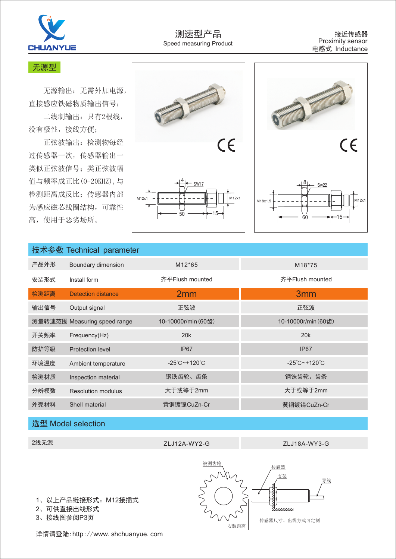

#### 无源型

 无源输出:无需外加电源, 直接感应铁磁物质输出信号;

 二线制输出:只有2根线, 没有极性,接线方便;

 正弦波输出:检测物每经 过传感器一次,传感器输出一 类似正弦波信号;类正弦波幅 值与频率成正比(0-20KHZ),与 检测距离成反比;传感器内部 为感应磁芯线圈结构,可靠性 高,使用于恶劣场所。





| 技术参数 Technical parameter |                              |                                      |                                      |
|--------------------------|------------------------------|--------------------------------------|--------------------------------------|
| 产品外形                     | Boundary dimension           | M <sub>12</sub> *65                  | M18*75                               |
| 安装形式                     | Install form                 | 齐平Flush mounted                      | 齐平Flush mounted                      |
| 检测距离                     | <b>Detection distance</b>    | 2mm                                  | 3 <sub>mm</sub>                      |
| 输出信号                     | Output signal                | 正弦波                                  | 正弦波                                  |
|                          | 测量转速范围 Measuring speed range | 10-10000r/min (60齿)                  | 10-10000r/min (60齿)                  |
| 开关频率                     | Frequency(Hz)                | 20k                                  | 20k                                  |
| 防护等级                     | <b>Protection level</b>      | IP <sub>67</sub>                     | IP <sub>67</sub>                     |
| 环境温度                     | Ambient temperature          | $-25^{\circ}$ C ~ + 120 $^{\circ}$ C | $-25^{\circ}$ C ~ + 120 $^{\circ}$ C |
| 检测材质                     | Inspection material          | 钢铁齿轮、齿条                              | 钢铁齿轮、齿条                              |
| 分辨模数                     | Resolution modulus           | 大于或等于2mm                             | 大于或等于2mm                             |
| 外壳材料                     | Shell material               | 黄铜镀镍CuZn-Cr                          | 黄铜镀镍CuZn-Cr                          |

# 选型 Model selection

2线无源 ZLJ12A-WY2-G ZLJ18A-WY3-G

1、以上产品 链接形式:M12接插式

2、可供直接出线形式

3、接线图参阅P3页

详情请登陆:http://www.shchuanyue.com

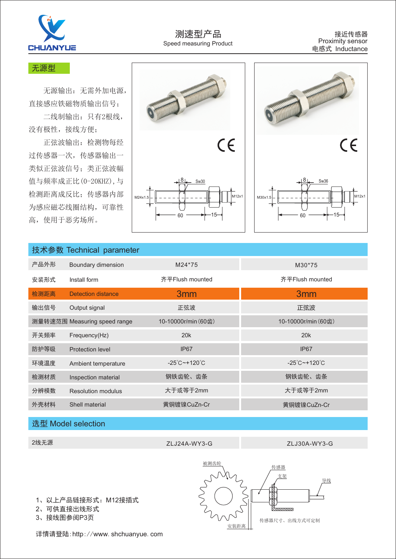

## 无源型

 无源输出:无需外加电源, 直接感应铁磁物质输出信号;

 二线制输出:只有2根线, 没有极性,接线方便;

 正弦波输出:检测物每经 过传感器一次,传感器输出一 类似正弦波信号;类正弦波幅 值与频率成正比(0-20KHZ),与 检测距离成反比;传感器内部 为感应磁芯线圈结构,可靠性 高,使用于恶劣场所。





| 技术参数 Technical parameter |                              |                                   |                                      |
|--------------------------|------------------------------|-----------------------------------|--------------------------------------|
| 产品外形                     | Boundary dimension           | M24*75                            | M30*75                               |
| 安装形式                     | Install form                 | 齐平Flush mounted                   | 齐平Flush mounted                      |
| 检测距离                     | Detection distance           | 3 <sub>mm</sub>                   | 3 <sub>mm</sub>                      |
| 输出信号                     | Output signal                | 正弦波                               | 正弦波                                  |
|                          | 测量转速范围 Measuring speed range | 10-10000r/min (60齿)               | 10-10000r/min (60齿)                  |
| 开关频率                     | Frequency(Hz)                | 20k                               | 20k                                  |
| 防护等级                     | <b>Protection level</b>      | IP <sub>67</sub>                  | IP <sub>67</sub>                     |
| 环境温度                     | Ambient temperature          | $-25^{\circ}$ C~+120 $^{\circ}$ C | $-25^{\circ}$ C ~ + 120 $^{\circ}$ C |
| 检测材质                     | Inspection material          | 钢铁齿轮、齿条                           | 钢铁齿轮、齿条                              |
| 分辨模数                     | <b>Resolution modulus</b>    | 大于或等于2mm                          | 大于或等于2mm                             |
| 外壳材料                     | Shell material               | 黄铜镀镍CuZn-Cr                       | 黄铜镀镍CuZn-Cr                          |

## 选型 Model selection

2线无源 ZLJ24A-WY3-G ZLJ30A-WY3-G

1、以上产品 链接形式:M12接插式

2、可供直接出线形式

3、接线图参阅P3页

详情请登陆:http://www.shchuanyue.com

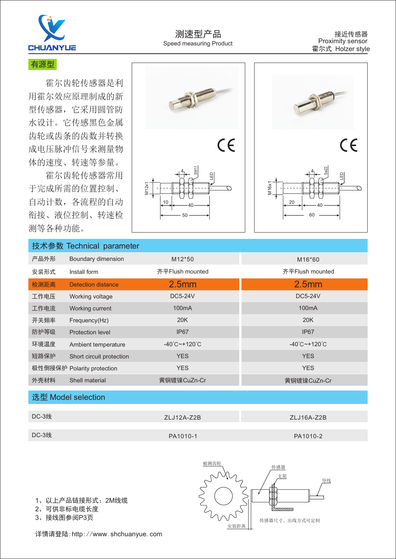

## 有源型

 霍尔齿轮传感器是利 用霍尔效应原理制成的新 型传感器,它采用圆管防 水设计。它传感黑色金属 齿轮或齿条的齿数并转换 成电压脉冲信号来测量物 体的速度、转速等参量。

 霍尔齿轮传感器常用 于完成所需的位置控制、 自动计数,各流程的自动 衔接、液位控制、转速检 测等各种功能。





# 技术参数 Technical parameter

| 产品外形 | Boundary dimension         | M <sub>12</sub> *50               | M <sub>16</sub> *60               |
|------|----------------------------|-----------------------------------|-----------------------------------|
| 安装形式 | Install form               | 齐平Flush mounted                   | 齐平Flush mounted                   |
| 检测距离 | Detection distance         | 2.5 <sub>mm</sub>                 | 2.5 <sub>mm</sub>                 |
| 工作电压 | Working voltage            | <b>DC5-24V</b>                    | <b>DC5-24V</b>                    |
| 工作电流 | Working current            | 100mA                             | 100 <sub>m</sub> A                |
| 开关频率 | Frequency(Hz)              | 20K                               | 20K                               |
| 防护等级 | <b>Protection level</b>    | IP <sub>67</sub>                  | IP <sub>67</sub>                  |
| 环境温度 | Ambient temperature        | $-40^{\circ}$ C $-+120^{\circ}$ C | $-40^{\circ}$ C $-+120^{\circ}$ C |
| 短路保护 | Short circuit protection   | <b>YES</b>                        | <b>YES</b>                        |
|      | 极性倒接保护 Polarity protection | <b>YES</b>                        | <b>YES</b>                        |
| 外壳材料 | Shell material             | 黄铜镀镍CuZn-Cr                       | 黄铜镀镍CuZn-Cr                       |
|      |                            |                                   |                                   |

选型 Model selection

| <b>DC-3线</b> | 71.J12A-72B | ZLJ16A-Z2B |
|--------------|-------------|------------|
|              |             |            |
| <b>DC-3线</b> | PA1010-1    | PA1010-2   |



1、以上产品 链接形式:2M线缆

2、可供非标电缆长度

3、接线图参阅P3页

详情请登陆:http://www.shchuanyue.com